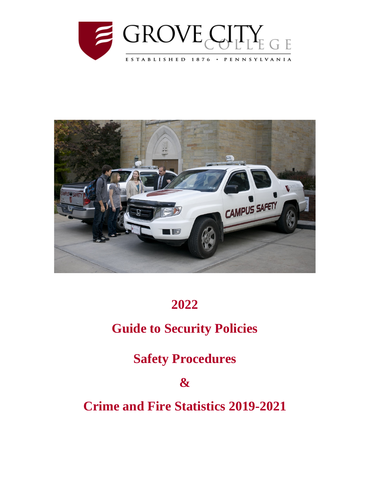



# **2022**

# **Guide to Security Policies**

**Safety Procedures**

**&**

**Crime and Fire Statistics 2019-2021**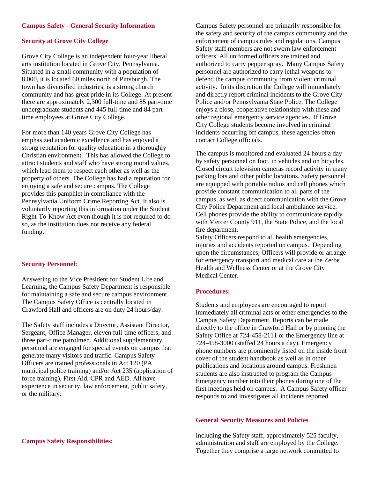#### **Campus Safety - General Security Information**

### **Security at Grove City College**

Grove City College is an independent four-year liberal arts institution located in Grove City, Pennsylvania. Situated in a small community with a population of 8,000, it is located 60 miles north of Pittsburgh. The town has diversified industries, is a strong church community and has great pride in its College. At present there are approximately 2,300 full-time and 85 part-time undergraduate students and 445 full-time and 84 parttime employees at Grove City College.

For more than 140 years Grove City College has emphasized academic excellence and has enjoyed a strong reputation for quality education in a thoroughly Christian environment. This has allowed the College to attract students and staff who have strong moral values, which lead them to respect each other as well as the property of others. The College has had a reputation for enjoying a safe and secure campus. The College provides this pamphlet in compliance with the Pennsylvania Uniform Crime Reporting Act. It also is voluntarily reporting this information under the Student Right-To-Know Act even though it is not required to do so, as the institution does not receive any federal funding.

#### **Security Personnel:**

Answering to the Vice President for Student Life and Learning, the Campus Safety Department is responsible for maintaining a safe and secure campus environment. The Campus Safety Office is centrally located in Crawford Hall and officers are on duty 24 hours/day.

The Safety staff includes a Director, Assistant Director, Sergeant, Office Manager, eleven full-time officers, and three part-time patrolmen. Additional supplementary personnel are engaged for special events on campus that generate many visitors and traffic. Campus Safety Officers are trained professionals in Act 120 (PA municipal police training) and/or Act 235 (application of force training), First Aid, CPR and AED. All have experience in security, law enforcement, public safety, or the military.

Campus Safety personnel are primarily responsible for the safety and security of the campus community and the enforcement of campus rules and regulations. Campus Safety staff members are not sworn law enforcement officers. All uniformed officers are trained and authorized to carry pepper spray. Many Campus Safety personnel are authorized to carry lethal weapons to defend the campus community from violent criminal activity. In its discretion the College will immediately and directly report criminal incidents to the Grove City Police and/or Pennsylvania State Police. The College enjoys a close, cooperative relationship with these and other regional emergency service agencies. If Grove City College students become involved in criminal incidents occurring off campus, these agencies often contact College officials.

The campus is monitored and evaluated 24 hours a day by safety personnel on foot, in vehicles and on bicycles. Closed circuit television cameras record activity in many parking lots and other public locations. Safety personnel are equipped with portable radios and cell phones which provide constant communication to all parts of the campus, as well as direct communication with the Grove City Police Department and local ambulance service. Cell phones provide the ability to communicate rapidly with Mercer County 911, the State Police, and the local fire department.

Safety Officers respond to all health emergencies, injuries and accidents reported on campus. Depending upon the circumstances, Officers will provide or arrange for emergency transport and medical care at the Zerbe Health and Wellness Center or at the Grove City Medical Center.

#### **Procedures:**

Students and employees are encouraged to report immediately all criminal acts or other emergencies to the Campus Safety Department. Reports can be made directly to the office in Crawford Hall or by phoning the Safety Office at 724-458-2111 or the Emergency line at 724-458-3000 (staffed 24 hours a day). Emergency phone numbers are prominently listed on the inside front cover of the student handbook as well as in other publications and locations around campus. Freshmen students are also instructed to program the Campus Emergency number into their phones during one of the first meetings held on campus. A Campus Safety officer responds to and investigates all incidents reported.

#### **General Security Measures and Policies**

Including the Safety staff, approximately 525 faculty, administration and staff are employed by the College. Together they comprise a large network committed to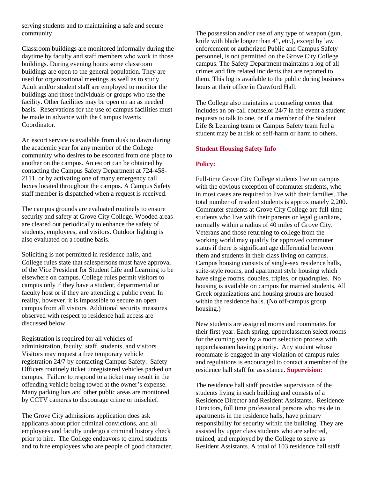serving students and to maintaining a safe and secure community.

Classroom buildings are monitored informally during the daytime by faculty and staff members who work in those buildings. During evening hours some classroom buildings are open to the general population. They are used for organizational meetings as well as to study. Adult and/or student staff are employed to monitor the buildings and those individuals or groups who use the facility. Other facilities may be open on an as needed basis. Reservations for the use of campus facilities must be made in advance with the Campus Events Coordinator.

An escort service is available from dusk to dawn during the academic year for any member of the College community who desires to be escorted from one place to another on the campus. An escort can be obtained by contacting the Campus Safety Department at 724-458- 2111, or by activating one of many emergency call boxes located throughout the campus. A Campus Safety staff member is dispatched when a request is received.

The campus grounds are evaluated routinely to ensure security and safety at Grove City College. Wooded areas are cleared out periodically to enhance the safety of students, employees, and visitors. Outdoor lighting is also evaluated on a routine basis.

Soliciting is not permitted in residence halls, and College rules state that salespersons must have approval of the Vice President for Student Life and Learning to be elsewhere on campus. College rules permit visitors to campus only if they have a student, departmental or faculty host or if they are attending a public event. In reality, however, it is impossible to secure an open campus from all visitors. Additional security measures observed with respect to residence hall access are discussed below.

Registration is required for all vehicles of administration, faculty, staff, students, and visitors. Visitors may request a free temporary vehicle registration 24/7 by contacting Campus Safety. Safety Officers routinely ticket unregistered vehicles parked on campus. Failure to respond to a ticket may result in the offending vehicle being towed at the owner's expense. Many parking lots and other public areas are monitored by CCTV cameras to discourage crime or mischief.

The Grove City admissions application does ask applicants about prior criminal convictions, and all employees and faculty undergo a criminal history check prior to hire. The College endeavors to enroll students and to hire employees who are people of good character.

The possession and/or use of any type of weapon (gun, knife with blade longer than 4", etc.), except by law enforcement or authorized Public and Campus Safety personnel, is not permitted on the Grove City College campus. The Safety Department maintains a log of all crimes and fire related incidents that are reported to them. This log is available to the public during business hours at their office in Crawford Hall.

The College also maintains a counseling center that includes an on-call counselor 24/7 in the event a student requests to talk to one, or if a member of the Student Life & Learning team or Campus Safety team feel a student may be at risk of self-harm or harm to others.

#### **Student Housing Safety Info**

#### **Policy:**

Full-time Grove City College students live on campus with the obvious exception of commuter students, who in most cases are required to live with their families. The total number of resident students is approximately 2,200. Commuter students at Grove City College are full-time students who live with their parents or legal guardians, normally within a radius of 40 miles of Grove City. Veterans and those returning to college from the working world may qualify for approved commuter status if there is significant age differential between them and students in their class living on campus. Campus housing consists of single-sex residence halls, suite-style rooms, and apartment style housing which have single rooms, doubles, triples, or quadruples. No housing is available on campus for married students. All Greek organizations and housing groups are housed within the residence halls. (No off-campus group housing.)

New students are assigned rooms and roommates for their first year. Each spring, upperclassmen select rooms for the coming year by a room selection process with upperclassmen having priority. Any student whose roommate is engaged in any violation of campus rules and regulations is encouraged to contact a member of the residence hall staff for assistance. **Supervision:**

The residence hall staff provides supervision of the students living in each building and consists of a Residence Director and Resident Assistants. Residence Directors, full time professional persons who reside in apartments in the residence halls, have primary responsibility for security within the building. They are assisted by upper class students who are selected, trained, and employed by the College to serve as Resident Assistants. A total of 103 residence hall staff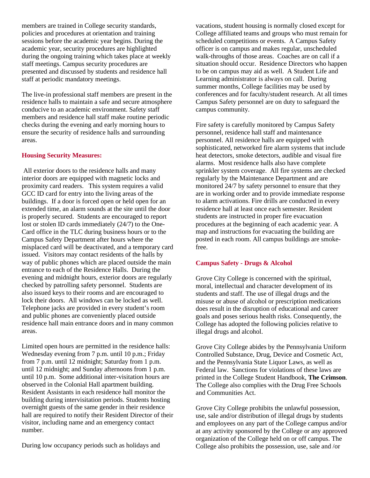members are trained in College security standards, policies and procedures at orientation and training sessions before the academic year begins. During the academic year, security procedures are highlighted during the ongoing training which takes place at weekly staff meetings. Campus security procedures are presented and discussed by students and residence hall staff at periodic mandatory meetings.

The live-in professional staff members are present in the residence halls to maintain a safe and secure atmosphere conducive to an academic environment. Safety staff members and residence hall staff make routine periodic checks during the evening and early morning hours to ensure the security of residence halls and surrounding areas.

#### **Housing Security Measures:**

All exterior doors to the residence halls and many interior doors are equipped with magnetic locks and proximity card readers. This system requires a valid GCC ID card for entry into the living areas of the buildings. If a door is forced open or held open for an extended time, an alarm sounds at the site until the door is properly secured. Students are encouraged to report lost or stolen ID cards immediately (24/7) to the One-Card office in the TLC during business hours or to the Campus Safety Department after hours where the misplaced card will be deactivated, and a temporary card issued. Visitors may contact residents of the halls by way of public phones which are placed outside the main entrance to each of the Residence Halls. During the evening and midnight hours, exterior doors are regularly checked by patrolling safety personnel. Students are also issued keys to their rooms and are encouraged to lock their doors. All windows can be locked as well. Telephone jacks are provided in every student's room and public phones are conveniently placed outside residence hall main entrance doors and in many common areas.

Limited open hours are permitted in the residence halls: Wednesday evening from 7 p.m. until 10 p.m.; Friday from 7 p.m. until 12 midnight; Saturday from 1 p.m. until 12 midnight; and Sunday afternoons from 1 p.m. until 10 p.m. Some additional inter-visitation hours are observed in the Colonial Hall apartment building. Resident Assistants in each residence hall monitor the building during intervisitation periods. Students hosting overnight guests of the same gender in their residence hall are required to notify their Resident Director of their visitor, including name and an emergency contact number.

During low occupancy periods such as holidays and

vacations, student housing is normally closed except for College affiliated teams and groups who must remain for scheduled competitions or events. A Campus Safety officer is on campus and makes regular, unscheduled walk-throughs of those areas. Coaches are on call if a situation should occur. Residence Directors who happen to be on campus may aid as well. A Student Life and Learning administrator is always on call. During summer months, College facilities may be used by conferences and for faculty/student research. At all times Campus Safety personnel are on duty to safeguard the campus community.

Fire safety is carefully monitored by Campus Safety personnel, residence hall staff and maintenance personnel. All residence halls are equipped with sophisticated, networked fire alarm systems that include heat detectors, smoke detectors, audible and visual fire alarms. Most residence halls also have complete sprinkler system coverage. All fire systems are checked regularly by the Maintenance Department and are monitored 24/7 by safety personnel to ensure that they are in working order and to provide immediate response to alarm activations. Fire drills are conducted in every residence hall at least once each semester. Resident students are instructed in proper fire evacuation procedures at the beginning of each academic year. A map and instructions for evacuating the building are posted in each room. All campus buildings are smokefree.

# **Campus Safety - Drugs & Alcohol**

Grove City College is concerned with the spiritual, moral, intellectual and character development of its students and staff. The use of illegal drugs and the misuse or abuse of alcohol or prescription medications does result in the disruption of educational and career goals and poses serious health risks. Consequently, the College has adopted the following policies relative to illegal drugs and alcohol.

Grove City College abides by the Pennsylvania Uniform Controlled Substance, Drug, Device and Cosmetic Act, and the Pennsylvania State Liquor Laws, as well as Federal law. Sanctions for violations of these laws are printed in the College Student Handbook, **The Crimson**. The College also complies with the Drug Free Schools and Communities Act.

Grove City College prohibits the unlawful possession, use, sale and/or distribution of illegal drugs by students and employees on any part of the College campus and/or at any activity sponsored by the College or any approved organization of the College held on or off campus. The College also prohibits the possession, use, sale and /or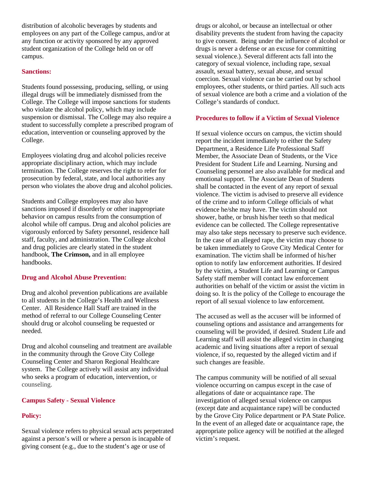distribution of alcoholic beverages by students and employees on any part of the College campus, and/or at any function or activity sponsored by any approved student organization of the College held on or off campus.

### **Sanctions:**

Students found possessing, producing, selling, or using illegal drugs will be immediately dismissed from the College. The College will impose sanctions for students who violate the alcohol policy, which may include suspension or dismissal. The College may also require a student to successfully complete a prescribed program of education, intervention or counseling approved by the College.

Employees violating drug and alcohol policies receive appropriate disciplinary action, which may include termination. The College reserves the right to refer for prosecution by federal, state, and local authorities any person who violates the above drug and alcohol policies.

Students and College employees may also have sanctions imposed if disorderly or other inappropriate behavior on campus results from the consumption of alcohol while off campus. Drug and alcohol policies are vigorously enforced by Safety personnel, residence hall staff, faculty, and administration. The College alcohol and drug policies are clearly stated in the student handbook, **The Crimson,** and in all employee handbooks.

### **Drug and Alcohol Abuse Prevention:**

Drug and alcohol prevention publications are available to all students in the College's Health and Wellness Center. All Residence Hall Staff are trained in the method of referral to our College Counseling Center should drug or alcohol counseling be requested or needed.

Drug and alcohol counseling and treatment are available in the community through the Grove City College Counseling Center and Sharon Regional Healthcare system. The College actively will assist any individual who seeks a program of education, intervention, or counseling.

#### **Campus Safety - Sexual Violence**

#### **Policy:**

Sexual violence refers to physical sexual acts perpetrated against a person's will or where a person is incapable of giving consent (e.g., due to the student's age or use of

drugs or alcohol, or because an intellectual or other disability prevents the student from having the capacity to give consent. Being under the influence of alcohol or drugs is never a defense or an excuse for committing sexual violence.). Several different acts fall into the category of sexual violence, including rape, sexual assault, sexual battery, sexual abuse, and sexual coercion. Sexual violence can be carried out by school employees, other students, or third parties. All such acts of sexual violence are both a crime and a violation of the College's standards of conduct.

#### **Procedures to follow if a Victim of Sexual Violence**

If sexual violence occurs on campus, the victim should report the incident immediately to either the Safety Department, a Residence Life Professional Staff Member, the Associate Dean of Students, or the Vice President for Student Life and Learning. Nursing and Counseling personnel are also available for medical and emotional support. The Associate Dean of Students shall be contacted in the event of any report of sexual violence. The victim is advised to preserve all evidence of the crime and to inform College officials of what evidence he/she may have. The victim should not shower, bathe, or brush his/her teeth so that medical evidence can be collected. The College representative may also take steps necessary to preserve such evidence. In the case of an alleged rape, the victim may choose to be taken immediately to Grove City Medical Center for examination. The victim shall be informed of his/her option to notify law enforcement authorities. If desired by the victim, a Student Life and Learning or Campus Safety staff member will contact law enforcement authorities on behalf of the victim or assist the victim in doing so. It is the policy of the College to encourage the report of all sexual violence to law enforcement.

The accused as well as the accuser will be informed of counseling options and assistance and arrangements for counseling will be provided, if desired. Student Life and Learning staff will assist the alleged victim in changing academic and living situations after a report of sexual violence, if so, requested by the alleged victim and if such changes are feasible.

The campus community will be notified of all sexual violence occurring on campus except in the case of allegations of date or acquaintance rape. The investigation of alleged sexual violence on campus (except date and acquaintance rape) will be conducted by the Grove City Police department or PA State Police. In the event of an alleged date or acquaintance rape, the appropriate police agency will be notified at the alleged victim's request.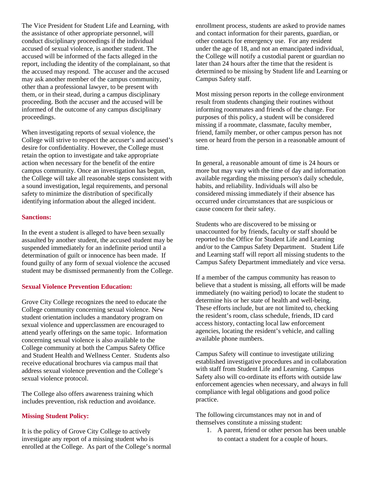The Vice President for Student Life and Learning, with the assistance of other appropriate personnel, will conduct disciplinary proceedings if the individual accused of sexual violence, is another student. The accused will be informed of the facts alleged in the report, including the identity of the complainant, so that the accused may respond. The accuser and the accused may ask another member of the campus community, other than a professional lawyer, to be present with them, or in their stead, during a campus disciplinary proceeding. Both the accuser and the accused will be informed of the outcome of any campus disciplinary proceedings.

When investigating reports of sexual violence, the College will strive to respect the accuser's and accused's desire for confidentiality. However, the College must retain the option to investigate and take appropriate action when necessary for the benefit of the entire campus community. Once an investigation has begun, the College will take all reasonable steps consistent with a sound investigation, legal requirements, and personal safety to minimize the distribution of specifically identifying information about the alleged incident.

### **Sanctions:**

In the event a student is alleged to have been sexually assaulted by another student, the accused student may be suspended immediately for an indefinite period until a determination of guilt or innocence has been made. If found guilty of any form of sexual violence the accused student may be dismissed permanently from the College.

#### **Sexual Violence Prevention Education:**

Grove City College recognizes the need to educate the College community concerning sexual violence. New student orientation includes a mandatory program on sexual violence and upperclassmen are encouraged to attend yearly offerings on the same topic. Information concerning sexual violence is also available to the College community at both the Campus Safety Office and Student Health and Wellness Center. Students also receive educational brochures via campus mail that address sexual violence prevention and the College's sexual violence protocol.

The College also offers awareness training which includes prevention, risk reduction and avoidance.

#### **Missing Student Policy:**

It is the policy of Grove City College to actively investigate any report of a missing student who is enrolled at the College. As part of the College's normal

enrollment process, students are asked to provide names and contact information for their parents, guardian, or other contacts for emergency use. For any resident under the age of 18, and not an emancipated individual, the College will notify a custodial parent or guardian no later than 24 hours after the time that the resident is determined to be missing by Student life and Learning or Campus Safety staff.

Most missing person reports in the college environment result from students changing their routines without informing roommates and friends of the change. For purposes of this policy, a student will be considered missing if a roommate, classmate, faculty member, friend, family member, or other campus person has not seen or heard from the person in a reasonable amount of time.

In general, a reasonable amount of time is 24 hours or more but may vary with the time of day and information available regarding the missing person's daily schedule, habits, and reliability. Individuals will also be considered missing immediately if their absence has occurred under circumstances that are suspicious or cause concern for their safety.

Students who are discovered to be missing or unaccounted for by friends, faculty or staff should be reported to the Office for Student Life and Learning and/or to the Campus Safety Department. Student Life and Learning staff will report all missing students to the Campus Safety Department immediately and vice versa.

If a member of the campus community has reason to believe that a student is missing, all efforts will be made immediately (no waiting period) to locate the student to determine his or her state of health and well-being. These efforts include, but are not limited to, checking the resident's room, class schedule, friends, ID card access history, contacting local law enforcement agencies, locating the resident's vehicle, and calling available phone numbers.

Campus Safety will continue to investigate utilizing established investigative procedures and in collaboration with staff from Student Life and Learning. Campus Safety also will co-ordinate its efforts with outside law enforcement agencies when necessary, and always in full compliance with legal obligations and good police practice.

The following circumstances may not in and of themselves constitute a missing student:

1. A parent, friend or other person has been unable to contact a student for a couple of hours.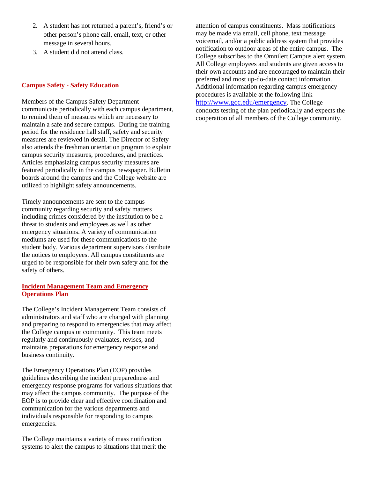- 2. A student has not returned a parent's, friend's or other person's phone call, email, text, or other message in several hours.
- 3. A student did not attend class.

## **Campus Safety - Safety Education**

Members of the Campus Safety Department communicate periodically with each campus department, to remind them of measures which are necessary to maintain a safe and secure campus. During the training period for the residence hall staff, safety and security measures are reviewed in detail. The Director of Safety also attends the freshman orientation program to explain campus security measures, procedures, and practices. Articles emphasizing campus security measures are featured periodically in the campus newspaper. Bulletin boards around the campus and the College website are utilized to highlight safety announcements.

Timely announcements are sent to the campus community regarding security and safety matters including crimes considered by the institution to be a threat to students and employees as well as other emergency situations. A variety of communication mediums are used for these communications to the student body. Various department supervisors distribute the notices to employees. All campus constituents are urged to be responsible for their own safety and for the safety of others.

## **Incident Management Team and Emergency Operations Plan**

The College's Incident Management Team consists of administrators and staff who are charged with planning and preparing to respond to emergencies that may affect the College campus or community. This team meets regularly and continuously evaluates, revises, and maintains preparations for emergency response and business continuity.

The Emergency Operations Plan (EOP) provides guidelines describing the incident preparedness and emergency response programs for various situations that may affect the campus community. The purpose of the EOP is to provide clear and effective coordination and communication for the various departments and individuals responsible for responding to campus emergencies.

The College maintains a variety of mass notification systems to alert the campus to situations that merit the

attention of campus constituents. Mass notifications may be made via email, cell phone, text message voicemail, and/or a public address system that provides notification to outdoor areas of the entire campus. The College subscribes to the Omnilert Campus alert system. All College employees and students are given access to their own accounts and are encouraged to maintain their preferred and most up-do-date contact information. Additional information regarding campus emergency procedures is available at the following link [http://www.gcc.edu/emergency.](http://www.gcc.edu/emergency) The College conducts testing of the plan periodically and expects the cooperation of all members of the College community.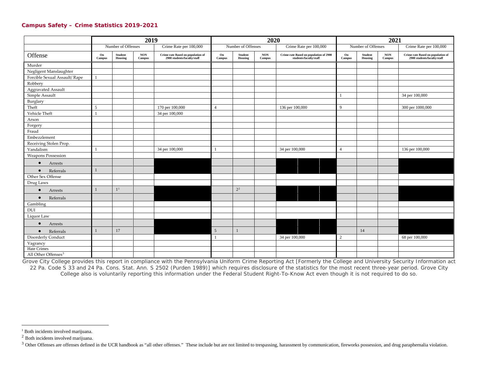#### <span id="page-7-2"></span><span id="page-7-1"></span><span id="page-7-0"></span>**Campus Safety – Crime Statistics 2019-2021**

|                                 | 2019           |                           |                        |                                                                  |                                    | 2020  |                        |                                                                  |                                    |                    | 2021                 |                                                                  |  |  |  |
|---------------------------------|----------------|---------------------------|------------------------|------------------------------------------------------------------|------------------------------------|-------|------------------------|------------------------------------------------------------------|------------------------------------|--------------------|----------------------|------------------------------------------------------------------|--|--|--|
|                                 |                | Number of Offenses        |                        | Crime Rate per 100,000                                           | Number of Offenses                 |       |                        | Crime Rate per 100,000                                           |                                    | Number of Offenses |                      | Crime Rate per 100,000                                           |  |  |  |
| Offense                         | On<br>Campus   | <b>Student</b><br>Housing | $_{\rm NON}$<br>Campus | Crime rate Based on population of<br>2900 students/faculty/staff | Student<br>On<br>Housing<br>Campus |       | $_{\rm NON}$<br>Campus | Crime rate Based on population of 2900<br>students/faculty/staff | Student<br>On<br>Housing<br>Campus |                    | $\bf{NON}$<br>Campus | Crime rate Based on population of<br>2900 students/faculty/staff |  |  |  |
| Murder                          |                |                           |                        |                                                                  |                                    |       |                        |                                                                  |                                    |                    |                      |                                                                  |  |  |  |
| Negligent Manslaughter          |                |                           |                        |                                                                  |                                    |       |                        |                                                                  |                                    |                    |                      |                                                                  |  |  |  |
| Forcible Sexual Assault/ Rape   |                |                           |                        |                                                                  |                                    |       |                        |                                                                  |                                    |                    |                      |                                                                  |  |  |  |
| Robbery                         |                |                           |                        |                                                                  |                                    |       |                        |                                                                  |                                    |                    |                      |                                                                  |  |  |  |
| <b>Aggravated Assault</b>       |                |                           |                        |                                                                  |                                    |       |                        |                                                                  |                                    |                    |                      |                                                                  |  |  |  |
| Simple Assault                  |                |                           |                        |                                                                  |                                    |       |                        |                                                                  |                                    |                    |                      | 34 per 100,000                                                   |  |  |  |
| Burglary                        |                |                           |                        |                                                                  |                                    |       |                        |                                                                  |                                    |                    |                      |                                                                  |  |  |  |
| Theft                           | 5              |                           |                        | 170 per 100,000                                                  | $\overline{4}$                     |       |                        | 136 per 100,000                                                  | 9                                  |                    |                      | 300 per 1000,000                                                 |  |  |  |
| Vehicle Theft                   | $\overline{1}$ |                           |                        | 34 per 100,000                                                   |                                    |       |                        |                                                                  |                                    |                    |                      |                                                                  |  |  |  |
| Arson                           |                |                           |                        |                                                                  |                                    |       |                        |                                                                  |                                    |                    |                      |                                                                  |  |  |  |
| Forgery                         |                |                           |                        |                                                                  |                                    |       |                        |                                                                  |                                    |                    |                      |                                                                  |  |  |  |
| Fraud                           |                |                           |                        |                                                                  |                                    |       |                        |                                                                  |                                    |                    |                      |                                                                  |  |  |  |
| Embezzlement                    |                |                           |                        |                                                                  |                                    |       |                        |                                                                  |                                    |                    |                      |                                                                  |  |  |  |
| Receiving Stolen Prop.          |                |                           |                        |                                                                  |                                    |       |                        |                                                                  |                                    |                    |                      |                                                                  |  |  |  |
| Vandalism                       |                |                           |                        | 34 per 100,000                                                   | $\overline{1}$                     |       |                        | 34 per 100,000                                                   | $\overline{4}$                     |                    |                      | 136 per 100,000                                                  |  |  |  |
| <b>Weapons Possession</b>       |                |                           |                        |                                                                  |                                    |       |                        |                                                                  |                                    |                    |                      |                                                                  |  |  |  |
| Arrests<br>$\bullet$            |                |                           |                        |                                                                  |                                    |       |                        |                                                                  |                                    |                    |                      |                                                                  |  |  |  |
| Referrals<br>$\bullet$          | $\mathbf{1}$   |                           |                        |                                                                  |                                    |       |                        |                                                                  |                                    |                    |                      |                                                                  |  |  |  |
| Other Sex Offense               |                |                           |                        |                                                                  |                                    |       |                        |                                                                  |                                    |                    |                      |                                                                  |  |  |  |
| Drug Laws                       |                |                           |                        |                                                                  |                                    |       |                        |                                                                  |                                    |                    |                      |                                                                  |  |  |  |
| Arrests<br>$\bullet$            | $\mathbf{1}$   | 1 <sup>1</sup>            |                        |                                                                  |                                    | $2^2$ |                        |                                                                  |                                    |                    |                      |                                                                  |  |  |  |
| Referrals<br>$\bullet$          |                |                           |                        |                                                                  |                                    |       |                        |                                                                  |                                    |                    |                      |                                                                  |  |  |  |
| Gambling                        |                |                           |                        |                                                                  |                                    |       |                        |                                                                  |                                    |                    |                      |                                                                  |  |  |  |
| DUI                             |                |                           |                        |                                                                  |                                    |       |                        |                                                                  |                                    |                    |                      |                                                                  |  |  |  |
| Liquor Law                      |                |                           |                        |                                                                  |                                    |       |                        |                                                                  |                                    |                    |                      |                                                                  |  |  |  |
| Arrests<br>$\bullet$            |                |                           |                        |                                                                  |                                    |       |                        |                                                                  |                                    |                    |                      |                                                                  |  |  |  |
| Referrals<br>$\bullet$          | $\mathbf{1}$   | 17                        |                        |                                                                  | 5                                  |       |                        |                                                                  |                                    | 14                 |                      |                                                                  |  |  |  |
| <b>Disorderly Conduct</b>       |                |                           |                        |                                                                  | $\overline{1}$                     |       |                        | 34 per 100,000                                                   | 2                                  |                    |                      | 68 per 100,000                                                   |  |  |  |
| Vagrancy                        |                |                           |                        |                                                                  |                                    |       |                        |                                                                  |                                    |                    |                      |                                                                  |  |  |  |
| Hate Crimes                     |                |                           |                        |                                                                  |                                    |       |                        |                                                                  |                                    |                    |                      |                                                                  |  |  |  |
| All Other Offenses <sup>3</sup> |                |                           |                        |                                                                  |                                    |       |                        |                                                                  |                                    |                    |                      |                                                                  |  |  |  |

Grove City College provides this report in compliance with the Pennsylvania Uniform Crime Reporting Act [Formerly the College and University Security Information act 22 Pa. Code S 33 and 24 Pa. Cons. Stat. Ann. S 2502 (Purden 1989)] which requires disclosure of the statistics for the most recent three-year period. Grove City College also is voluntarily reporting this information under the Federal Student Right-To-Know Act even though it is not required to do so.

<sup>&</sup>lt;sup>1</sup> Both incidents involved marijuana.

<sup>2</sup> Both incidents involved marijuana.

<sup>&</sup>lt;sup>3</sup> Other Offenses are offenses defined in the UCR handbook as "all other offenses." These include but are not limited to trespassing, harassment by communication, fireworks possession, and drug paraphernalia violation.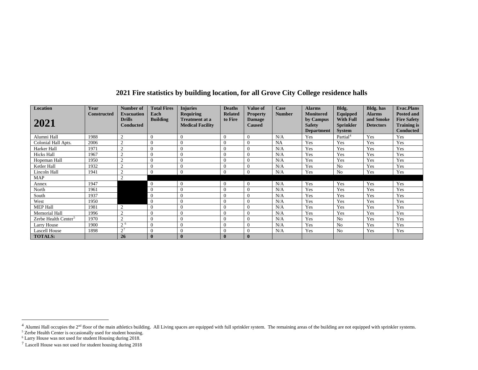| <b>Location</b>                  | Year               | Number of                                       | <b>Total Fires</b>      | <b>Injuries</b>                                                      | <b>Deaths</b>             | <b>Value of</b>                                   | Case          | <b>Alarms</b>                                                       | Bldg.                                                             | <b>Bldg.</b> has                               | <b>Evac.Plans</b>                                                                 |
|----------------------------------|--------------------|-------------------------------------------------|-------------------------|----------------------------------------------------------------------|---------------------------|---------------------------------------------------|---------------|---------------------------------------------------------------------|-------------------------------------------------------------------|------------------------------------------------|-----------------------------------------------------------------------------------|
| 2021                             | <b>Constructed</b> | <b>Evacuation</b><br><b>Drills</b><br>Conducted | Each<br><b>Building</b> | <b>Requiring</b><br><b>Treatment at a</b><br><b>Medical Facility</b> | <b>Related</b><br>to Fire | <b>Property</b><br><b>Damage</b><br><b>Caused</b> | <b>Number</b> | <b>Monitored</b><br>by Campus<br><b>Safety</b><br><b>Department</b> | Equipped<br><b>With Full</b><br><b>Sprinkler</b><br><b>System</b> | <b>Alarms</b><br>and Smoke<br><b>Detectors</b> | <b>Posted and</b><br><b>Fire Safety</b><br><b>Training is</b><br><b>Conducted</b> |
| Alumni Hall                      | 1988               | $\overline{c}$                                  | $\Omega$                | $\Omega$                                                             | $\Omega$                  | $\Omega$                                          | N/A           | Yes                                                                 | Partial <sup>4</sup>                                              | Yes                                            | Yes                                                                               |
| Colonial Hall Apts.              | 2006               | $\overline{2}$                                  | $\Omega$                | $\Omega$                                                             | $\Omega$                  | $\Omega$                                          | NA            | Yes                                                                 | Yes                                                               | Yes                                            | Yes                                                                               |
| Harker Hall                      | 1971               | $\overline{2}$                                  | $\Omega$                | 0                                                                    | $\theta$                  | $\Omega$                                          | N/A           | Yes                                                                 | Yes                                                               | Yes                                            | Yes                                                                               |
| <b>Hicks Hall</b>                | 1967               | $\overline{2}$                                  |                         | $\theta$                                                             | $\theta$                  | 0                                                 | N/A           | Yes                                                                 | Yes                                                               | Yes                                            | Yes                                                                               |
| Hopeman Hall                     | 1950               | $\overline{2}$                                  | $\Omega$                | $\Omega$                                                             | $\Omega$                  | $\Omega$                                          | N/A           | Yes                                                                 | Yes                                                               | Yes                                            | Yes                                                                               |
| Ketler Hall                      | 1932               | $\overline{2}$                                  | $\Omega$                | $\Omega$                                                             | $\Omega$                  | $\Omega$                                          | N/A           | Yes                                                                 | N <sub>o</sub>                                                    | Yes                                            | Yes                                                                               |
| Lincoln Hall                     | 1941               | $\sim$                                          |                         | 0                                                                    | $\Omega$                  | $\Omega$                                          | N/A           | Yes                                                                 | N <sub>0</sub>                                                    | Yes                                            | Yes                                                                               |
| <b>MAP</b>                       |                    | $\sim$                                          |                         |                                                                      |                           |                                                   |               |                                                                     |                                                                   |                                                |                                                                                   |
| Annex                            | 1947               |                                                 | $\Omega$                | $\Omega$                                                             | $\Omega$                  | $\Omega$                                          | N/A           | Yes                                                                 | Yes                                                               | Yes                                            | Yes                                                                               |
| North                            | 1961               |                                                 | $\overline{0}$          | $\theta$                                                             | $\Omega$                  | $\Omega$                                          | N/A           | Yes                                                                 | Yes                                                               | Yes                                            | Yes                                                                               |
| South                            | 1937               |                                                 | $\Omega$                | 0                                                                    | $\Omega$                  | 0                                                 | N/A           | Yes                                                                 | Yes                                                               | Yes                                            | Yes                                                                               |
| West                             | 1950               |                                                 | $\theta$                | 0                                                                    | $\Omega$                  | $\Omega$                                          | N/A           | Yes                                                                 | Yes                                                               | Yes                                            | Yes                                                                               |
| <b>MEP Hall</b>                  | 1981               | $\overline{2}$                                  | $\Omega$                | $\theta$                                                             | $\Omega$                  | $\Omega$                                          | N/A           | Yes                                                                 | Yes                                                               | Yes                                            | Yes                                                                               |
| Memorial Hall                    | 1996               | $\overline{2}$                                  | $\Omega$                | $\theta$                                                             | $\theta$                  | $\Omega$                                          | N/A           | Yes                                                                 | Yes                                                               | Yes                                            | Yes                                                                               |
| Zerbe Health Center <sup>5</sup> | 1970               | $\overline{2}$                                  |                         | $\Omega$                                                             | $\Omega$                  | $\Omega$                                          | N/A           | Yes                                                                 | N <sub>o</sub>                                                    | Yes                                            | Yes                                                                               |
| Larry House                      | 1900               | $2^{6}$                                         | $\Omega$                | $\Omega$                                                             | $\Omega$                  | $\Omega$                                          | N/A           | Yes                                                                 | N <sub>o</sub>                                                    | Yes                                            | Yes                                                                               |
| <b>Lascell House</b>             | 1898               | $2^7$                                           | $\Omega$                | $\theta$                                                             | $\Omega$                  | $\Omega$                                          | N/A           | Yes                                                                 | N <sub>o</sub>                                                    | Yes                                            | Yes                                                                               |
| <b>TOTALS:</b>                   |                    | 26                                              | $\mathbf{0}$            | $\mathbf{0}$                                                         | $\bf{0}$                  | $\bf{0}$                                          |               |                                                                     |                                                                   |                                                |                                                                                   |

# <span id="page-8-3"></span><span id="page-8-2"></span><span id="page-8-1"></span><span id="page-8-0"></span>**2021 Fire statistics by building location, for all Grove City College residence halls**

 $^4$  Alumni Hall occupies the 2<sup>nd</sup> floor of the main athletics building. All Living spaces are equipped with full sprinkler system. The remaining areas of the building are not equipped with sprinkler systems.

<sup>&</sup>lt;sup>5</sup> Zerbe Health Center is occasionally used for student housing.

<sup>&</sup>lt;sup>6</sup> Larry House was not used for student Housing during 2018.

<sup>7</sup> Lascell House was not used for student housing during 2018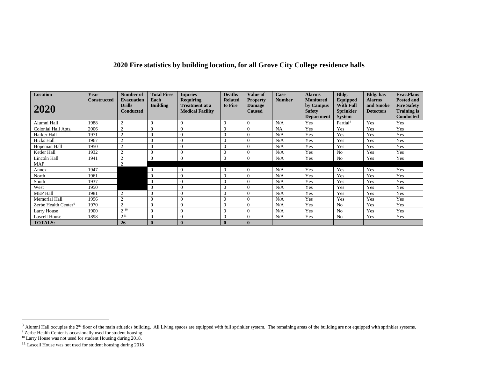# <span id="page-9-3"></span><span id="page-9-2"></span><span id="page-9-1"></span><span id="page-9-0"></span>**2020 Fire statistics by building location, for all Grove City College residence halls**

| Location                         | Year               | Number of                                       | <b>Total Fires</b>      | <b>Injuries</b>                                                      | <b>Deaths</b>             | <b>Value of</b>                                   | Case          | <b>Alarms</b>                                  | Bldg.                                            | <b>Bldg.</b> has                               | <b>Evac.Plans</b>                                             |
|----------------------------------|--------------------|-------------------------------------------------|-------------------------|----------------------------------------------------------------------|---------------------------|---------------------------------------------------|---------------|------------------------------------------------|--------------------------------------------------|------------------------------------------------|---------------------------------------------------------------|
| 2020                             | <b>Constructed</b> | <b>Evacuation</b><br><b>Drills</b><br>Conducted | Each<br><b>Building</b> | <b>Requiring</b><br><b>Treatment at a</b><br><b>Medical Facility</b> | <b>Related</b><br>to Fire | <b>Property</b><br><b>Damage</b><br><b>Caused</b> | <b>Number</b> | <b>Monitored</b><br>by Campus<br><b>Safety</b> | Equipped<br><b>With Full</b><br><b>Sprinkler</b> | <b>Alarms</b><br>and Smoke<br><b>Detectors</b> | <b>Posted and</b><br><b>Fire Safety</b><br><b>Training is</b> |
|                                  |                    |                                                 |                         |                                                                      |                           |                                                   |               | <b>Department</b>                              | <b>System</b>                                    |                                                | <b>Conducted</b>                                              |
| Alumni Hall                      | 1988               | $\sim$<br>∠                                     |                         | $\theta$                                                             | $\Omega$                  | $\Omega$                                          | N/A           | Yes                                            | Partial <sup>8</sup>                             | Yes                                            | Yes                                                           |
| Colonial Hall Apts.              | 2006               | $\Omega$                                        |                         | $\Omega$                                                             | $\Omega$                  | $\Omega$                                          | NA            | Yes                                            | Yes                                              | Yes                                            | Yes                                                           |
| Harker Hall                      | 1971               | $\Omega$                                        |                         | $\Omega$                                                             | $\Omega$                  | $\Omega$                                          | N/A           | Yes                                            | Yes                                              | Yes                                            | Yes                                                           |
| <b>Hicks Hall</b>                | 1967               |                                                 |                         | $\overline{0}$                                                       | $\Omega$                  | $\Omega$                                          | N/A           | Yes                                            | Yes                                              | Yes                                            | Yes                                                           |
| Hopeman Hall                     | 1950               | $\Omega$                                        | $\Omega$                | $\Omega$                                                             | $\Omega$                  | $\Omega$                                          | N/A           | Yes                                            | Yes                                              | Yes                                            | Yes                                                           |
| Ketler Hall                      | 1932               | $\sim$                                          |                         | $\theta$                                                             | $\mathbf{0}$              | $\overline{0}$                                    | N/A           | Yes                                            | N <sub>o</sub>                                   | Yes                                            | Yes                                                           |
| Lincoln Hall                     | 1941               | $\sim$                                          |                         | $\Omega$                                                             | $\theta$                  | $\overline{0}$                                    | N/A           | Yes                                            | N <sub>0</sub>                                   | Yes                                            | Yes                                                           |
| MAP                              |                    | $\sim$                                          |                         |                                                                      |                           |                                                   |               |                                                |                                                  |                                                |                                                               |
| Annex                            | 1947               |                                                 | $\overline{0}$          | $\Omega$                                                             | $\Omega$                  | $\theta$                                          | N/A           | Yes                                            | Yes                                              | Yes                                            | Yes                                                           |
| North                            | 1961               |                                                 |                         | $\theta$                                                             | $\Omega$                  | $\overline{0}$                                    | N/A           | Yes                                            | Yes                                              | Yes                                            | Yes                                                           |
| South                            | 1937               |                                                 | $\Omega$                | $\Omega$                                                             | $\Omega$                  | $\theta$                                          | N/A           | Yes                                            | Yes                                              | Yes                                            | Yes                                                           |
| West                             | 1950               |                                                 | $\overline{0}$          | $\overline{0}$                                                       | $\theta$                  | $\Omega$                                          | N/A           | Yes                                            | Yes                                              | Yes                                            | Yes                                                           |
| <b>MEP Hall</b>                  | 1981               | $\sim$                                          |                         | $\Omega$                                                             | $\Omega$                  | $\Omega$                                          | N/A           | Yes                                            | Yes                                              | Yes                                            | Yes                                                           |
| <b>Memorial Hall</b>             | 1996               | $\mathcal{L}$                                   |                         | $\Omega$                                                             | $\Omega$                  | $\overline{0}$                                    | N/A           | Yes                                            | Yes                                              | Yes                                            | Yes                                                           |
| Zerbe Health Center <sup>9</sup> | 1970               | $\sim$                                          | $\Omega$                | $\theta$                                                             | $\theta$                  | $\Omega$                                          | N/A           | Yes                                            | N <sub>0</sub>                                   | Yes                                            | Yes                                                           |
| Larry House                      | 1900               | 210                                             | $\Omega$                | $\theta$                                                             | $\theta$                  | $\Omega$                                          | N/A           | Yes                                            | No                                               | Yes                                            | Yes                                                           |
| <b>Lascell House</b>             | 1898               | $2^{11}$                                        | $\Omega$                | $\Omega$                                                             | $\Omega$                  | $\overline{0}$                                    | N/A           | Yes                                            | N <sub>o</sub>                                   | Yes                                            | Yes                                                           |
| <b>TOTALS:</b>                   |                    | 26                                              |                         | $\mathbf{0}$                                                         | $\mathbf{0}$              | $\bf{0}$                                          |               |                                                |                                                  |                                                |                                                               |

 $8$  Alumni Hall occupies the 2<sup>nd</sup> floor of the main athletics building. All Living spaces are equipped with full sprinkler system. The remaining areas of the building are not equipped with sprinkler systems.

<sup>&</sup>lt;sup>9</sup> Zerbe Health Center is occasionally used for student housing.

<sup>&</sup>lt;sup>10</sup> Larry House was not used for student Housing during 2018.

 $11$  Lascell House was not used for student housing during 2018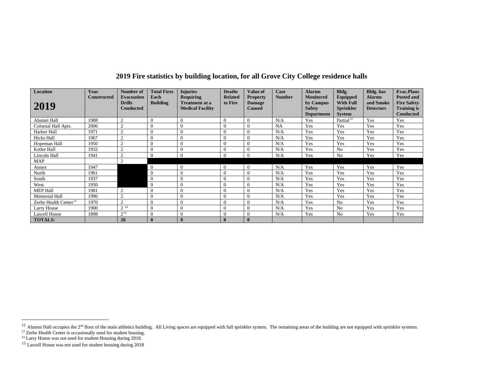<span id="page-10-3"></span><span id="page-10-2"></span><span id="page-10-1"></span><span id="page-10-0"></span>

| 2019 Fire statistics by building location, for all Grove City College residence halls |  |
|---------------------------------------------------------------------------------------|--|
|---------------------------------------------------------------------------------------|--|

| Location                          | Year               | Number of                                              | <b>Total Fires</b><br>Each | <b>Injuries</b>                                                      | <b>Deaths</b>             | <b>Value of</b>                                   | Case          | <b>Alarms</b><br><b>Monitored</b>               | Bldg.                                                             | <b>Bldg.</b> has                               | <b>Evac.Plans</b>                                                                 |
|-----------------------------------|--------------------|--------------------------------------------------------|----------------------------|----------------------------------------------------------------------|---------------------------|---------------------------------------------------|---------------|-------------------------------------------------|-------------------------------------------------------------------|------------------------------------------------|-----------------------------------------------------------------------------------|
| 2019                              | <b>Constructed</b> | <b>Evacuation</b><br><b>Drills</b><br><b>Conducted</b> | <b>Building</b>            | <b>Requiring</b><br><b>Treatment at a</b><br><b>Medical Facility</b> | <b>Related</b><br>to Fire | <b>Property</b><br><b>Damage</b><br><b>Caused</b> | <b>Number</b> | by Campus<br><b>Safety</b><br><b>Department</b> | Equipped<br><b>With Full</b><br><b>Sprinkler</b><br><b>System</b> | <b>Alarms</b><br>and Smoke<br><b>Detectors</b> | <b>Posted and</b><br><b>Fire Safety</b><br><b>Training is</b><br><b>Conducted</b> |
| Alumni Hall                       | 1988               | 2                                                      | $\theta$                   |                                                                      |                           |                                                   | N/A           | Yes                                             | Partial <sup>12</sup>                                             | Yes                                            | Yes                                                                               |
| Colonial Hall Apts.               | 2006               | $\overline{2}$                                         | $\Omega$                   |                                                                      |                           |                                                   | NA            | Yes                                             | Yes                                                               | Yes                                            | Yes                                                                               |
| Harker Hall                       | 1971               | $\overline{2}$                                         | $\overline{0}$             |                                                                      |                           |                                                   | N/A           | Yes                                             | Yes                                                               | Yes                                            | Yes                                                                               |
| <b>Hicks Hall</b>                 | 1967               | $\overline{2}$                                         | $\Omega$                   |                                                                      |                           |                                                   | N/A           | Yes                                             | Yes                                                               | Yes                                            | Yes                                                                               |
| Hopeman Hall                      | 1950               | $\gamma$                                               | $\Omega$                   |                                                                      |                           |                                                   | N/A           | Yes                                             | Yes                                                               | Yes                                            | Yes                                                                               |
| Ketler Hall                       | 1932               | $\overline{2}$                                         | $\Omega$                   |                                                                      |                           |                                                   | N/A           | Yes                                             | N <sub>0</sub>                                                    | Yes                                            | Yes                                                                               |
| Lincoln Hall                      | 1941               | $\overline{2}$                                         | $\theta$                   |                                                                      |                           |                                                   | N/A           | Yes                                             | N <sub>0</sub>                                                    | Yes                                            | Yes                                                                               |
| MAP                               |                    | $\overline{2}$                                         |                            |                                                                      |                           |                                                   |               |                                                 |                                                                   |                                                |                                                                                   |
| Annex                             | 1947               |                                                        | $\overline{0}$             | $\overline{0}$                                                       |                           |                                                   | N/A           | Yes                                             | Yes                                                               | Yes                                            | Yes                                                                               |
| North                             | 1961               |                                                        | $\overline{0}$             |                                                                      |                           |                                                   | N/A           | Yes                                             | Yes                                                               | Yes                                            | Yes                                                                               |
| South                             | 1937               |                                                        | $\overline{0}$             |                                                                      |                           |                                                   | N/A           | Yes                                             | Yes                                                               | Yes                                            | Yes                                                                               |
| West                              | 1950               |                                                        | $\overline{0}$             |                                                                      |                           |                                                   | N/A           | Yes                                             | Yes                                                               | Yes                                            | Yes                                                                               |
| <b>MEP Hall</b>                   | 1981               | $\gamma$                                               | $\theta$                   |                                                                      |                           |                                                   | N/A           | Yes                                             | Yes                                                               | Yes                                            | Yes                                                                               |
| <b>Memorial Hall</b>              | 1996               | $\overline{2}$                                         | $\overline{0}$             | $\Omega$                                                             |                           |                                                   | N/A           | Yes                                             | Yes                                                               | Yes                                            | Yes                                                                               |
| Zerbe Health Center <sup>13</sup> | 1970               | $\overline{2}$                                         | $\theta$                   |                                                                      |                           |                                                   | N/A           | Yes                                             | N <sub>0</sub>                                                    | Yes                                            | Yes                                                                               |
| Larry House                       | 1900               | $2^{14}$                                               | $\Omega$                   |                                                                      |                           |                                                   | N/A           | Yes                                             | N <sub>0</sub>                                                    | Yes                                            | Yes                                                                               |
| <b>Lascell House</b>              | 1898               | 215                                                    | $\theta$                   |                                                                      |                           |                                                   | N/A           | Yes                                             | N <sub>0</sub>                                                    | Yes                                            | Yes                                                                               |
| <b>TOTALS:</b>                    |                    | 26                                                     | $\mathbf{0}$               | $\bf{0}$                                                             |                           | $\bf{0}$                                          |               |                                                 |                                                                   |                                                |                                                                                   |

<sup>&</sup>lt;sup>12</sup> Alumni Hall occupies the 2<sup>nd</sup> floor of the main athletics building. All Living spaces are equipped with full sprinkler system. The remaining areas of the building are not equipped with sprinkler systems.

<sup>&</sup>lt;sup>13</sup> Zerbe Health Center is occasionally used for student housing.

<sup>&</sup>lt;sup>14</sup> Larry House was not used for student Housing during 2018.

<sup>&</sup>lt;sup>15</sup> Lascell House was not used for student housing during 2018